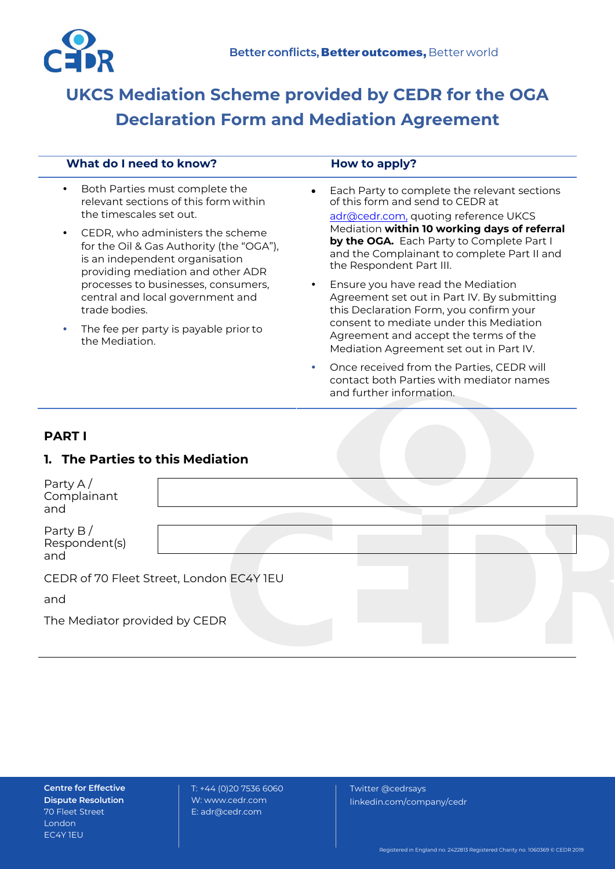

# **UKCS Mediation Scheme provided by CEDR for the OGA Declaration Form and Mediation Agreement**

| What do I need to know?                                                                                                                             | How to apply?                                                                                                                                                        |  |
|-----------------------------------------------------------------------------------------------------------------------------------------------------|----------------------------------------------------------------------------------------------------------------------------------------------------------------------|--|
| Both Parties must complete the<br>$\bullet$<br>relevant sections of this form within<br>the timescales set out.                                     | Each Party to complete the relevant sections<br>$\bullet$<br>of this form and send to CEDR at<br>adr@cedr.com, quoting reference UKCS                                |  |
| CEDR, who administers the scheme<br>for the Oil & Gas Authority (the "OGA"),<br>is an independent organisation<br>providing mediation and other ADR | Mediation within 10 working days of referral<br>by the OGA. Each Party to Complete Part I<br>and the Complainant to complete Part II and<br>the Respondent Part III. |  |
| processes to businesses, consumers,<br>central and local government and<br>trade bodies.                                                            | Ensure you have read the Mediation<br>$\bullet$<br>Agreement set out in Part IV. By submitting<br>this Declaration Form, you confirm your                            |  |
| The fee per party is payable prior to<br>the Mediation.                                                                                             | consent to mediate under this Mediation<br>Agreement and accept the terms of the<br>Mediation Agreement set out in Part IV.                                          |  |
|                                                                                                                                                     | Once received from the Parties, CEDR will<br>$\bullet$<br>contact both Parties with mediator names<br>and further information.                                       |  |
| <b>PART I</b>                                                                                                                                       |                                                                                                                                                                      |  |
| <b>1. The Parties to this Mediation</b>                                                                                                             |                                                                                                                                                                      |  |
| Party A $/$<br>Complainant<br>and                                                                                                                   |                                                                                                                                                                      |  |

Party B / Respondent(s) and

CEDR of 70 Fleet Street, London EC4Y 1EU

and

The Mediator provided by CEDR

**Centre for Effective Dispute Resolution**  70 Fleet Street London EC4Y 1EU

T: +44 (0)20 7536 6060 W: [www.cedr.com](http://www.cedr.com/) E[: adr@cedr.com](mailto:adr@cedr.com)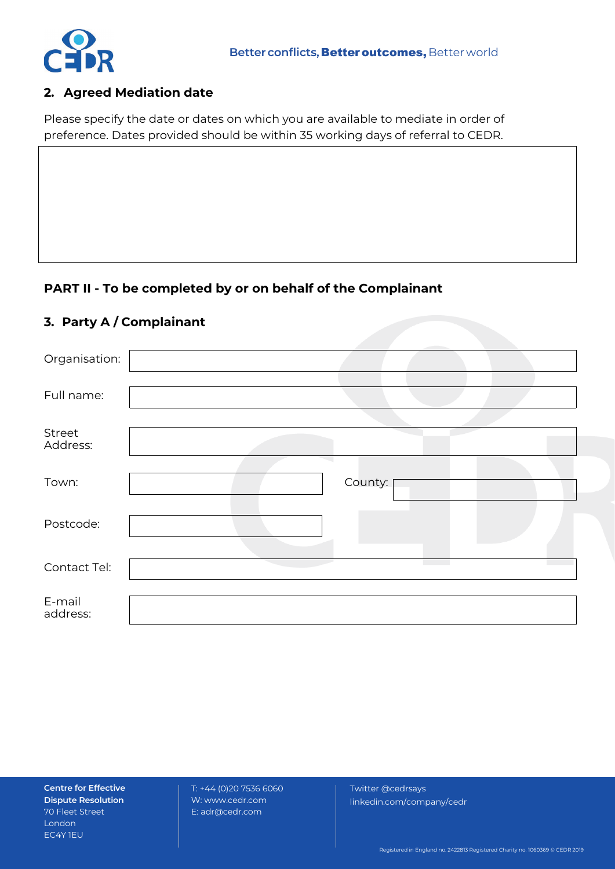

## **2. Agreed Mediation date**

Please specify the date or dates on which you are available to mediate in order of preference. Dates provided should be within 35 working days of referral to CEDR.

## **PART II - To be completed by or on behalf of the Complainant**

## **3. Party A / Complainant**

| Organisation:      |         |
|--------------------|---------|
| Full name:         |         |
| Street<br>Address: |         |
| Town:              | County: |
| Postcode:          |         |
| Contact Tel:       |         |
| E-mail<br>address: |         |

**Centre for Effective Dispute Resolution**  70 Fleet Street London EC4Y 1EU

T: +44 (0)20 7536 6060 W: [www.cedr.com](http://www.cedr.com/) E[: adr@cedr.com](mailto:adr@cedr.com)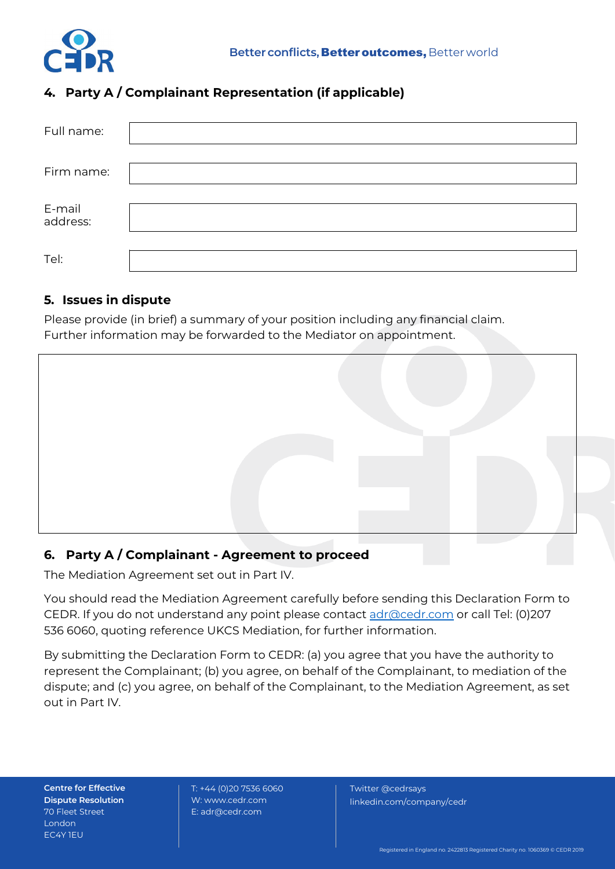

# **4. Party A / Complainant Representation (if applicable)**

| Full name:         |  |
|--------------------|--|
| Firm name:         |  |
| E-mail<br>address: |  |
| Tel:               |  |

## **5. Issues in dispute**

Please provide (in brief) a summary of your position including any financial claim. Further information may be forwarded to the Mediator on appointment.



# **6. Party A / Complainant - Agreement to proceed**

The Mediation Agreement set out in Part IV.

You should read the Mediation Agreement carefully before sending this Declaration Form to CEDR. If you do not understand any point please contact [adr@cedr.com](mailto:adr@cedr.com) or call Tel: (0)207 536 6060, quoting reference UKCS Mediation, for further information.

By submitting the Declaration Form to CEDR: (a) you agree that you have the authority to represent the Complainant; (b) you agree, on behalf of the Complainant, to mediation of the dispute; and (c) you agree, on behalf of the Complainant, to the Mediation Agreement, as set out in Part IV.

**Centre for Effective Dispute Resolution**  70 Fleet Street London EC4Y 1EU

T: +44 (0)20 7536 6060 W: [www.cedr.com](http://www.cedr.com/) E[: adr@cedr.com](mailto:adr@cedr.com)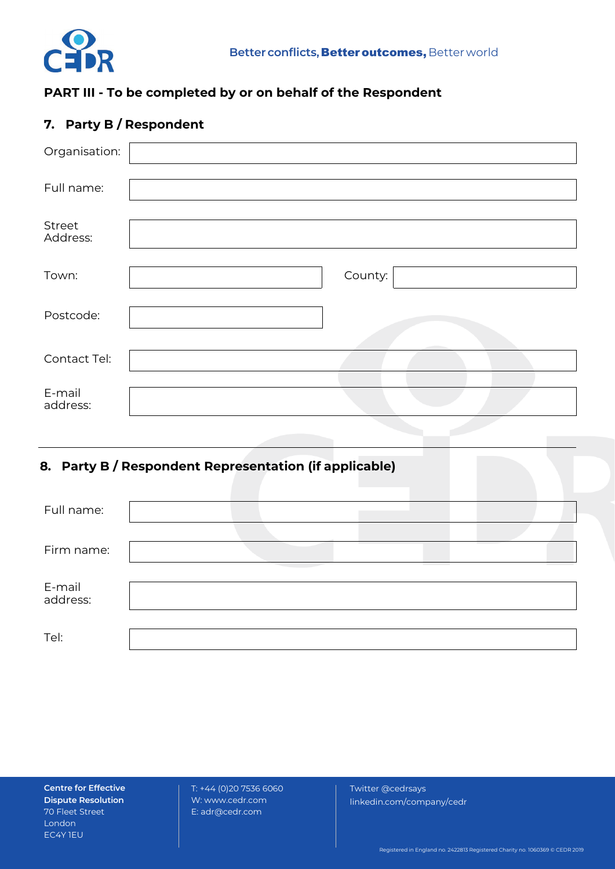

# **PART III - To be completed by or on behalf of the Respondent**

# **7. Party B / Respondent**

| Organisation:      |         |
|--------------------|---------|
| Full name:         |         |
| Street<br>Address: |         |
| Town:              | County: |
| Postcode:          |         |
| Contact Tel:       |         |
| E-mail<br>address: |         |

# **8. Party B / Respondent Representation (if applicable)**

| Full name:         |  |  |
|--------------------|--|--|
| Firm name:         |  |  |
| E-mail<br>address: |  |  |
| Tel:               |  |  |

**Centre for Effective Dispute Resolution**  70 Fleet Street London EC4Y 1EU

T: +44 (0)20 7536 6060 W: [www.cedr.com](http://www.cedr.com/) E[: adr@cedr.com](mailto:adr@cedr.com)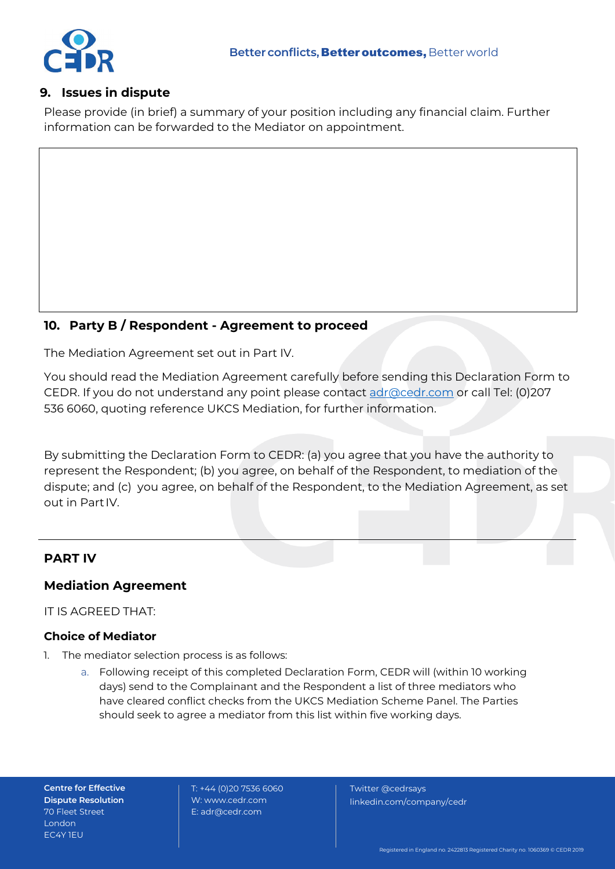

## **9. Issues in dispute**

Please provide (in brief) a summary of your position including any financial claim. Further information can be forwarded to the Mediator on appointment.

## **10. Party B / Respondent - Agreement to proceed**

The Mediation Agreement set out in Part IV.

You should read the Mediation Agreement carefully before sending this Declaration Form to CEDR. If you do not understand any point please contact [adr@cedr.com](mailto:adr@cedr.com) or call Tel: (0)207 536 6060, quoting reference UKCS Mediation, for further information.

By submitting the Declaration Form to CEDR: (a) you agree that you have the authority to represent the Respondent; (b) you agree, on behalf of the Respondent, to mediation of the dispute; and (c) you agree, on behalf of the Respondent, to the Mediation Agreement, as set out in Part IV.

## **PART IV**

## **Mediation Agreement**

IT IS AGREED THAT:

### **Choice of Mediator**

- 1. The mediator selection process is as follows:
	- a. Following receipt of this completed Declaration Form, CEDR will (within 10 working days) send to the Complainant and the Respondent a list of three mediators who have cleared conflict checks from the UKCS Mediation Scheme Panel. The Parties should seek to agree a mediator from this list within five working days.

**Centre for Effective Dispute Resolution**  70 Fleet Street London EC4Y 1EU

T: +44 (0)20 7536 6060 W: [www.cedr.com](http://www.cedr.com/) E[: adr@cedr.com](mailto:adr@cedr.com)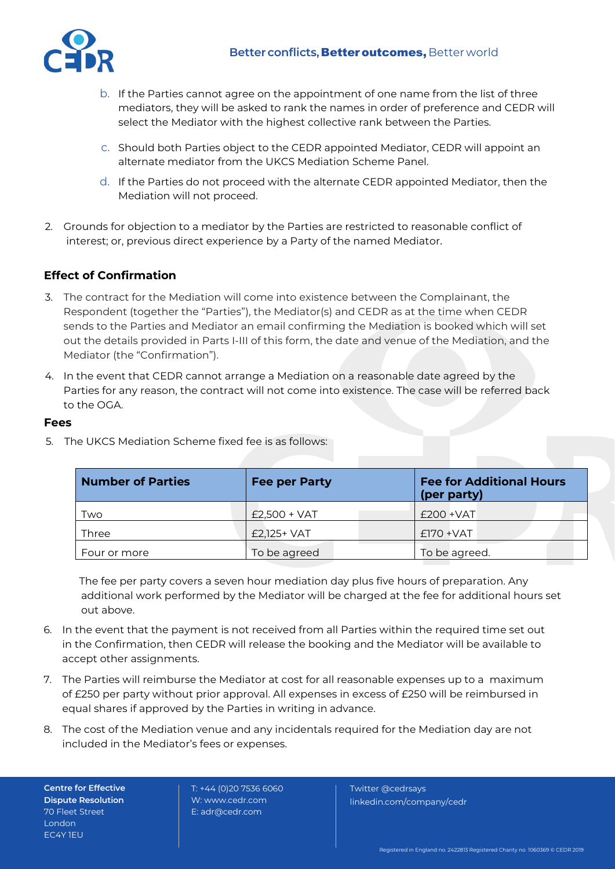

- b. If the Parties cannot agree on the appointment of one name from the list of three mediators, they will be asked to rank the names in order of preference and CEDR will select the Mediator with the highest collective rank between the Parties.
- c. Should both Parties object to the CEDR appointed Mediator, CEDR will appoint an alternate mediator from the UKCS Mediation Scheme Panel.
- d. If the Parties do not proceed with the alternate CEDR appointed Mediator, then the Mediation will not proceed.
- 2. Grounds for objection to a mediator by the Parties are restricted to reasonable conflict of interest; or, previous direct experience by a Party of the named Mediator.

### **Effect of Confirmation**

- 3. The contract for the Mediation will come into existence between the Complainant, the Respondent (together the "Parties"), the Mediator(s) and CEDR as at the time when CEDR sends to the Parties and Mediator an email confirming the Mediation is booked which will set out the details provided in Parts I-III of this form, the date and venue of the Mediation, and the Mediator (the "Confirmation").
- 4. In the event that CEDR cannot arrange a Mediation on a reasonable date agreed by the Parties for any reason, the contract will not come into existence. The case will be referred back to the OGA.

#### **Fees**

| <b>Number of Parties</b> | <b>Fee per Party</b> | <b>Fee for Additional Hours</b><br>(per party) |
|--------------------------|----------------------|------------------------------------------------|
| Two                      | $£2,500 + VAT$       | $£200 + VAT$                                   |
| Three                    | £2,125+ VAT          | $£$ 170 + VAT                                  |
| Four or more             | To be agreed         | To be agreed.                                  |

5. The UKCS Mediation Scheme fixed fee is as follows:

The fee per party covers a seven hour mediation day plus five hours of preparation. Any additional work performed by the Mediator will be charged at the fee for additional hours set out above.

- 6. In the event that the payment is not received from all Parties within the required time set out in the Confirmation, then CEDR will release the booking and the Mediator will be available to accept other assignments.
- 7. The Parties will reimburse the Mediator at cost for all reasonable expenses up to a maximum of £250 per party without prior approval. All expenses in excess of £250 will be reimbursed in equal shares if approved by the Parties in writing in advance.
- 8. The cost of the Mediation venue and any incidentals required for the Mediation day are not included in the Mediator's fees or expenses.

**Centre for Effective Dispute Resolution**  70 Fleet Street London EC4Y 1EU

T: +44 (0)20 7536 6060 W: [www.cedr.com](http://www.cedr.com/) E[: adr@cedr.com](mailto:adr@cedr.com)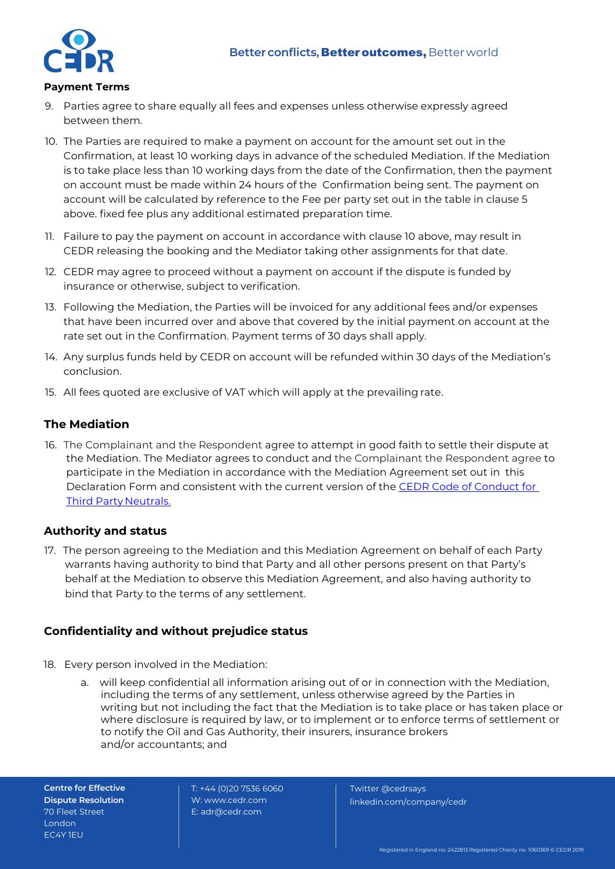

#### **Payment Terms**

- 9. Parties agree to share equally all fees and expenses unless otherwise expressly agreed between them.
- 10. The Parties are required to make a payment on account for the amount set out in the Confirmation, at least 10 working days in advance of the scheduled Mediation. If the Mediation is to take place less than 10 working days from the date of the Confirmation, then the payment on account must be made within 24 hours of the Confirmation being sent. The payment on account will be calculated by reference to the Fee per party set out in the table in clause 5 above. fixed fee plus any additional estimated preparation time.
- 11. Failure to pay the payment on account in accordance with clause 10 above, may result in CEDR releasing the booking and the Mediator taking other assignments for that date.
- 12. CEDR may agree to proceed without a payment on account if the dispute is funded by insurance or otherwise, subject to verification.
- 13. Following the Mediation, the Parties will be invoiced for any additional fees and/or expenses that have been incurred over and above that covered by the initial payment on account at the rate set out in the Confirmation. Payment terms of 30 days shall apply.
- 14. Any surplus funds held by CEDR on account will be refunded within 30 days of the Mediation's conclusion.
- 15. All fees quoted are exclusive of VAT which will apply at the prevailing rate.

## **The Mediation**

16. The Complainant and the Respondent agree to attempt in good faith to settle their dispute at the Mediation. The Mediator agrees to conduct and the Complainant the Respondent agree to participate in the Mediation in accordance with the Mediation Agreement set out in this Declaration Form and consistent with the current version of the CEDR Code of Conduct for Third Party Neutrals.

#### **Authority and status**

17. The person agreeing to the Mediation and this Mediation Agreement on behalf of each Party warrants having authority to bind that Party and all other persons present on that Party's behalf at the Mediation to observe this Mediation Agreement, and also having authority to bind that Party to the terms of any settlement.

### **Confidentiality and without prejudice status**

- 18. Every person involved in the Mediation:
	- a. will keep confidential all information arising out of or in connection with the Mediation, including the terms of any settlement, unless otherwise agreed by the Parties in writing but not including the fact that the Mediation is to take place or has taken place or where disclosure is required by law, or to implement or to enforce terms of settlement or to notify the Oil and Gas Authority, their insurers, insurance brokers and/or accountants; and

**Centre for Effective Dispute Resolution**  70 Fleet Street London EC4Y 1EU

 $T: +44 (0)2075366606$ W: [www.cedr.com](http://www.cedr.com/) E[: adr@cedr.com](mailto:adr@cedr.com)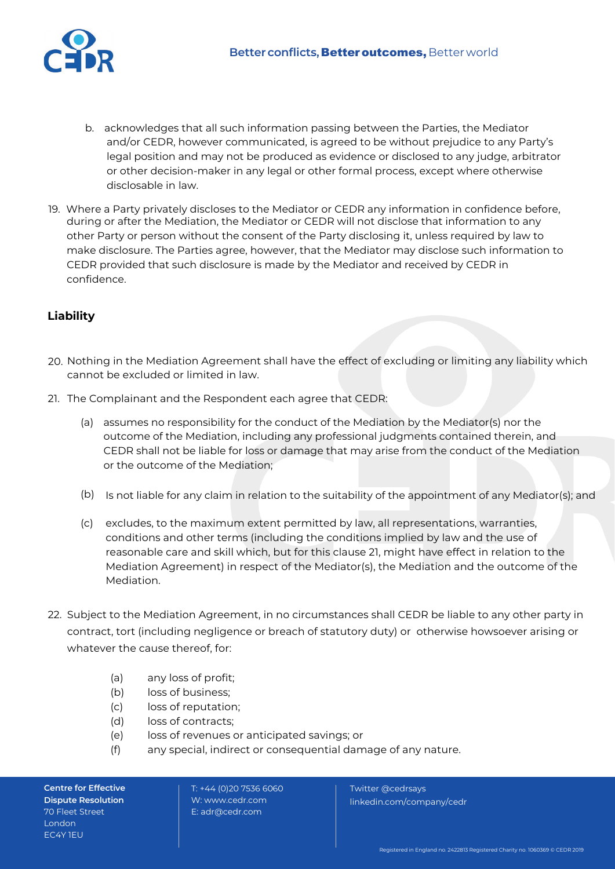

- b. acknowledges that all such information passing between the Parties, the Mediator and/or CEDR, however communicated, is agreed to be without prejudice to any Party's legal position and may not be produced as evidence or disclosed to any judge, arbitrator or other decision-maker in any legal or other formal process, except where otherwise disclosable in law.
- 19. Where a Party privately discloses to the Mediator or CEDR any information in confidence before, during or after the Mediation, the Mediator or CEDR will not disclose that information to any other Party or person without the consent of the Party disclosing it, unless required by law to make disclosure. The Parties agree, however, that the Mediator may disclose such information to CEDR provided that such disclosure is made by the Mediator and received by CEDR in confidence.

## **Liability**

- 20. Nothing in the Mediation Agreement shall have the effect of excluding or limiting any liability which cannot be excluded or limited in law.
- 21. The Complainant and the Respondent each agree that CEDR:
	- (a) assumes no responsibility for the conduct of the Mediation by the Mediator(s) nor the outcome of the Mediation, including any professional judgments contained therein, and CEDR shall not be liable for loss or damage that may arise from the conduct of the Mediation or the outcome of the Mediation;
	- (b) Is not liable for any claim in relation to the suitability of the appointment of any Mediator(s); and
	- (c) excludes, to the maximum extent permitted by law, all representations, warranties, conditions and other terms (including the conditions implied by law and the use of reasonable care and skill which, but for this clause 21, might have effect in relation to the Mediation Agreement) in respect of the Mediator(s), the Mediation and the outcome of the Mediation.
- 22. Subject to the Mediation Agreement, in no circumstances shall CEDR be liable to any other party in contract, tort (including negligence or breach of statutory duty) or otherwise howsoever arising or whatever the cause thereof, for:
	- (a) any loss of profit;
	- (b) loss of business;
	- (c) loss of reputation;
	- (d) loss of contracts;
	- (e) loss of revenues or anticipated savings; or
	- (f) any special, indirect or consequential damage of any nature.

**Centre for Effective Dispute Resolution**  70 Fleet Street London EC4Y 1EU

T: +44 (0)20 7536 6060 W: [www.cedr.com](http://www.cedr.com/) E[: adr@cedr.com](mailto:adr@cedr.com)

Twitter @cedrsays

linkedin.com/company/cedr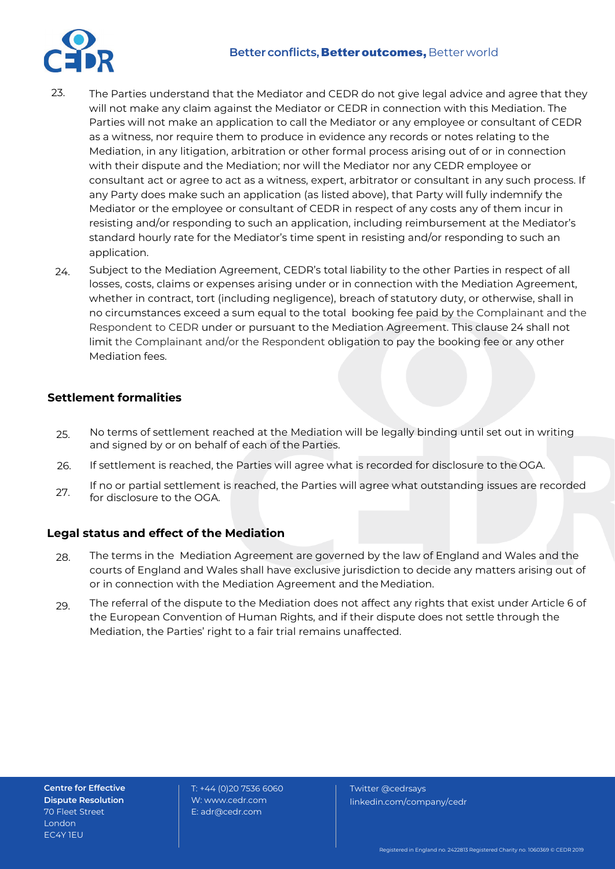#### **Better conflicts, Better outcomes, Better world**



- The Parties understand that the Mediator and CEDR do not give legal advice and agree that they will not make any claim against the Mediator or CEDR in connection with this Mediation. The Parties will not make an application to call the Mediator or any employee or consultant of CEDR as a witness, nor require them to produce in evidence any records or notes relating to the Mediation, in any litigation, arbitration or other formal process arising out of or in connection with their dispute and the Mediation; nor will the Mediator nor any CEDR employee or consultant act or agree to act as a witness, expert, arbitrator or consultant in any such process. If any Party does make such an application (as listed above), that Party will fully indemnify the Mediator or the employee or consultant of CEDR in respect of any costs any of them incur in resisting and/or responding to such an application, including reimbursement at the Mediator's standard hourly rate for the Mediator's time spent in resisting and/or responding to such an application. 23.
- Subject to the Mediation Agreement, CEDR's total liability to the other Parties in respect of all losses, costs, claims or expenses arising under or in connection with the Mediation Agreement, whether in contract, tort (including negligence), breach of statutory duty, or otherwise, shall in no circumstances exceed a sum equal to the total booking fee paid by the Complainant and the Respondent to CEDR under or pursuant to the Mediation Agreement. This clause 24 shall not limit the Complainant and/or the Respondent obligation to pay the booking fee or any other Mediation fees. 24.

## **Settlement formalities**

- No terms of settlement reached at the Mediation will be legally binding until set out in writing and signed by or on behalf of each of the Parties. 25.
- If settlement is reached, the Parties will agree what is recorded for disclosure to the OGA. 26.
- If no or partial settlement is reached, the Parties will agree what outstanding issues are recorded for disclosure to the OGA. 27.

#### **Legal status and effect of the Mediation**

- The terms in the Mediation Agreement are governed by the law of England and Wales and the courts of England and Wales shall have exclusive jurisdiction to decide any matters arising out of or in connection with the Mediation Agreement and the Mediation. 28.
- The referral of the dispute to the Mediation does not affect any rights that exist under Article 6 of the European Convention of Human Rights, and if their dispute does not settle through the Mediation, the Parties' right to a fair trial remains unaffected. 29.

**Centre for Effective Dispute Resolution**  70 Fleet Street London EC4Y 1EU

T: +44 (0)20 7536 6060 W: [www.cedr.com](http://www.cedr.com/) E[: adr@cedr.com](mailto:adr@cedr.com)